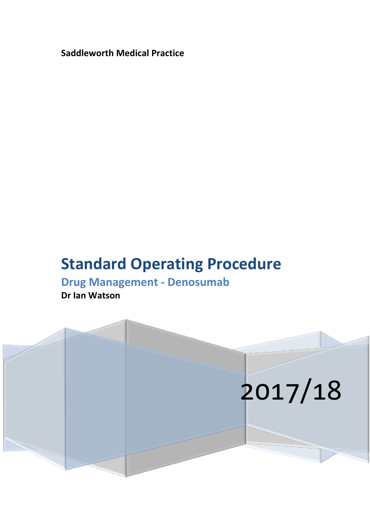**Saddleworth Medical Practice**

# **Standard Operating Procedure**

## **Drug Management - Denosumab**

**Dr Ian Watson**

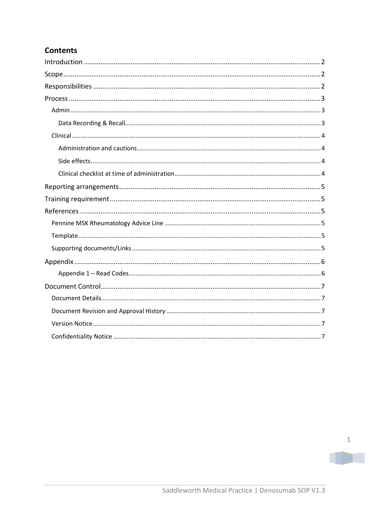## **Contents**

TD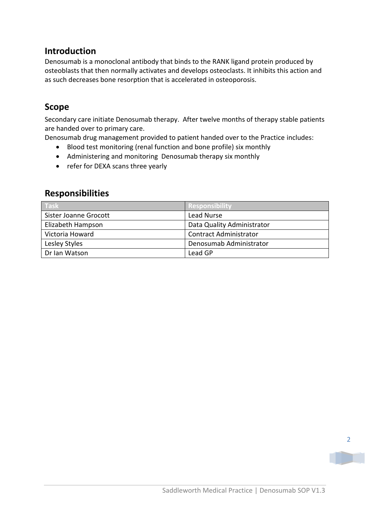## <span id="page-2-0"></span>**Introduction**

Denosumab is a monoclonal antibody that binds to the RANK ligand protein produced by osteoblasts that then normally activates and develops osteoclasts. It inhibits this action and as such decreases bone resorption that is accelerated in osteoporosis.

## <span id="page-2-1"></span>**Scope**

Secondary care initiate Denosumab therapy. After twelve months of therapy stable patients are handed over to primary care.

Denosumab drug management provided to patient handed over to the Practice includes:

- Blood test monitoring (renal function and bone profile) six monthly
- Administering and monitoring Denosumab therapy six monthly
- refer for DEXA scans three yearly

## <span id="page-2-2"></span>**Responsibilities**

| Task                  | Responsibility                |
|-----------------------|-------------------------------|
| Sister Joanne Grocott | Lead Nurse                    |
| Elizabeth Hampson     | Data Quality Administrator    |
| Victoria Howard       | <b>Contract Administrator</b> |
| Lesley Styles         | Denosumab Administrator       |
| Dr Ian Watson         | Lead GP                       |

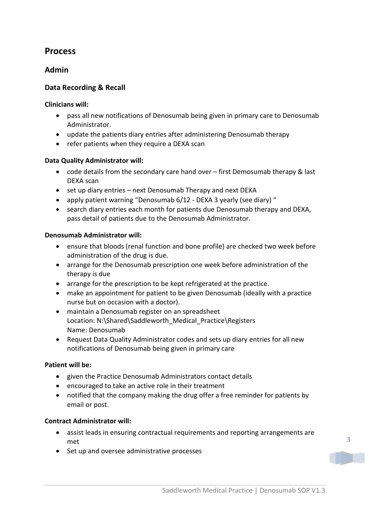## <span id="page-3-0"></span>**Process**

#### <span id="page-3-1"></span>**Admin**

#### <span id="page-3-2"></span>**Data Recording & Recall**

#### **Clinicians will:**

- pass all new notifications of Denosumab being given in primary care to Denosumab Administrator.
- update the patients diary entries after administering Denosumab therapy
- refer patients when they require a DEXA scan

#### **Data Quality Administrator will:**

- code details from the secondary care hand over first Demosumab therapy & last DEXA scan
- set up diary entries next Denosumab Therapy and next DEXA
- apply patient warning "Denosumab 6/12 DEXA 3 yearly (see diary) "
- search diary entries each month for patients due Denosumab therapy and DEXA, pass detail of patients due to the Denosumab Administrator.

#### **Denosumab Administrator will:**

- ensure that bloods (renal function and bone profile) are checked two week before administration of the drug is due.
- arrange for the Denosumab prescription one week before administration of the therapy is due
- arrange for the prescription to be kept refrigerated at the practice.
- make an appointment for patient to be given Denosumab (ideally with a practice nurse but on occasion with a doctor).
- maintain a Denosumab register on an spreadsheet Location: N:\Shared\Saddleworth\_Medical\_Practice\Registers Name: Denosumab
- Request Data Quality Administrator codes and sets up diary entries for all new notifications of Denosumab being given in primary care

#### **Patient will be:**

- given the Practice Denosumab Administrators contact details
- encouraged to take an active role in their treatment
- notified that the company making the drug offer a free reminder for patients by email or post.

#### **Contract Administrator will:**

- assist leads in ensuring contractual requirements and reporting arrangements are met
- Set up and oversee administrative processes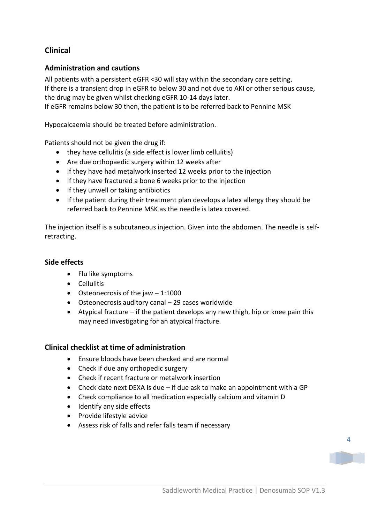## <span id="page-4-0"></span>**Clinical**

#### <span id="page-4-1"></span>**Administration and cautions**

All patients with a persistent eGFR <30 will stay within the secondary care setting. If there is a transient drop in eGFR to below 30 and not due to AKI or other serious cause, the drug may be given whilst checking eGFR 10-14 days later.

If eGFR remains below 30 then, the patient is to be referred back to Pennine MSK

Hypocalcaemia should be treated before administration.

Patients should not be given the drug if:

- they have cellulitis (a side effect is lower limb cellulitis)
- Are due orthopaedic surgery within 12 weeks after
- If they have had metalwork inserted 12 weeks prior to the injection
- If they have fractured a bone 6 weeks prior to the injection
- If they unwell or taking antibiotics
- If the patient during their treatment plan develops a latex allergy they should be referred back to Pennine MSK as the needle is latex covered.

The injection itself is a subcutaneous injection. Given into the abdomen. The needle is selfretracting.

#### <span id="page-4-2"></span>**Side effects**

- Flu like symptoms
- Cellulitis
- Osteonecrosis of the jaw  $-1:1000$
- Osteonecrosis auditory canal 29 cases worldwide
- Atypical fracture if the patient develops any new thigh, hip or knee pain this may need investigating for an atypical fracture.

#### <span id="page-4-3"></span>**Clinical checklist at time of administration**

- Ensure bloods have been checked and are normal
- Check if due any orthopedic surgery
- Check if recent fracture or metalwork insertion
- Check date next DEXA is due if due ask to make an appointment with a GP
- Check compliance to all medication especially calcium and vitamin D
- Identify any side effects
- Provide lifestyle advice
- Assess risk of falls and refer falls team if necessary



4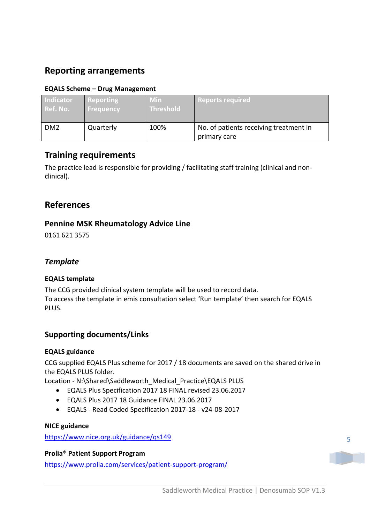## <span id="page-5-0"></span>**Reporting arrangements**

#### **EQALS Scheme – Drug Management**

| <b>Indicator</b> | Reporting        | Min              | <b>Reports required</b>                                |
|------------------|------------------|------------------|--------------------------------------------------------|
| Ref. No.         | <b>Frequency</b> | <b>Threshold</b> |                                                        |
| DM <sub>2</sub>  | Quarterly        | 100%             | No. of patients receiving treatment in<br>primary care |

## <span id="page-5-1"></span>**Training requirements**

The practice lead is responsible for providing / facilitating staff training (clinical and nonclinical).

## <span id="page-5-2"></span>**References**

#### <span id="page-5-3"></span>**Pennine MSK Rheumatology Advice Line**

0161 621 3575

#### <span id="page-5-4"></span>*Template*

#### **EQALS template**

The CCG provided clinical system template will be used to record data. To access the template in emis consultation select 'Run template' then search for EQALS PLUS.

#### <span id="page-5-5"></span>**Supporting documents/Links**

#### **EQALS guidance**

CCG supplied EQALS Plus scheme for 2017 / 18 documents are saved on the shared drive in the EQALS PLUS folder.

Location - N:\Shared\Saddleworth\_Medical\_Practice\EQALS PLUS

- EQALS Plus Specification 2017 18 FINAL revised 23.06.2017
- EQALS Plus 2017 18 Guidance FINAL 23.06.2017
- EQALS Read Coded Specification 2017-18 v24-08-2017

#### **NICE guidance**

<https://www.nice.org.uk/guidance/qs149>

#### **Prolia® Patient Support Program**

<https://www.prolia.com/services/patient-support-program/>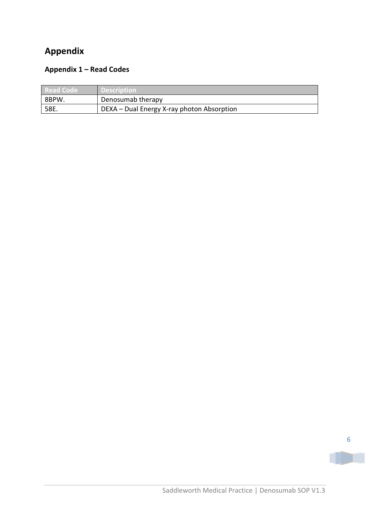## <span id="page-6-0"></span>**Appendix**

## <span id="page-6-1"></span>**Appendix 1 – Read Codes**

| l Read Code | <b>Description</b>                         |
|-------------|--------------------------------------------|
| 8BPW.       | Denosumab therapy                          |
| 58E.        | DEXA – Dual Energy X-ray photon Absorption |



TD